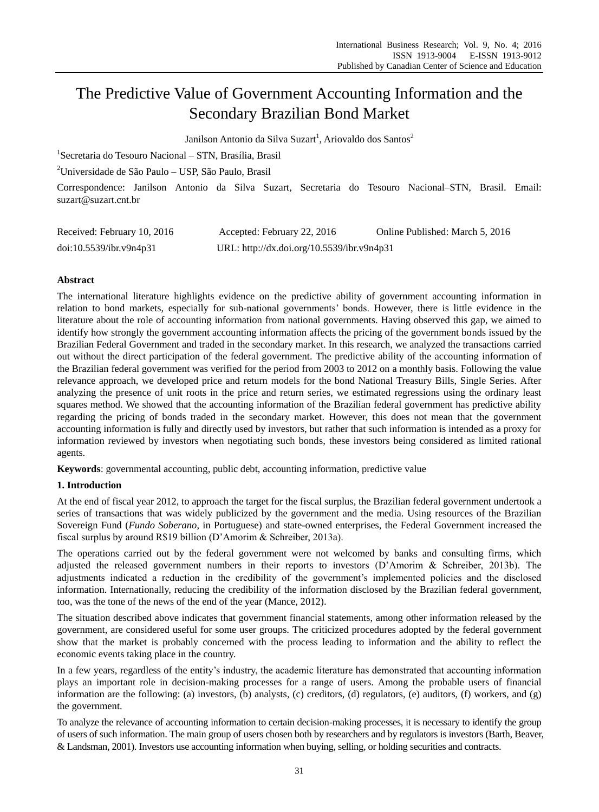# The Predictive Value of Government Accounting Information and the Secondary Brazilian Bond Market

Janilson Antonio da Silva Suzart<sup>1</sup>, Ariovaldo dos Santos<sup>2</sup>

<sup>1</sup> Secretaria do Tesouro Nacional - STN, Bras fia, Brasil

<sup>2</sup>Universidade de São Paulo – USP, São Paulo, Brasil

Correspondence: Janilson Antonio da Silva Suzart, Secretaria do Tesouro Nacional–STN, Brasil. Email: suzart@suzart.cnt.br

| Received: February 10, 2016 | Accepted: February 22, 2016                | Online Published: March 5, 2016 |
|-----------------------------|--------------------------------------------|---------------------------------|
| doi:10.5539/ibr.v9n4p31     | URL: http://dx.doi.org/10.5539/ibr.v9n4p31 |                                 |

## **Abstract**

The international literature highlights evidence on the predictive ability of government accounting information in relation to bond markets, especially for sub-national governments' bonds. However, there is little evidence in the literature about the role of accounting information from national governments. Having observed this gap, we aimed to identify how strongly the government accounting information affects the pricing of the government bonds issued by the Brazilian Federal Government and traded in the secondary market. In this research, we analyzed the transactions carried out without the direct participation of the federal government. The predictive ability of the accounting information of the Brazilian federal government was verified for the period from 2003 to 2012 on a monthly basis. Following the value relevance approach, we developed price and return models for the bond National Treasury Bills, Single Series. After analyzing the presence of unit roots in the price and return series, we estimated regressions using the ordinary least squares method. We showed that the accounting information of the Brazilian federal government has predictive ability regarding the pricing of bonds traded in the secondary market. However, this does not mean that the government accounting information is fully and directly used by investors, but rather that such information is intended as a proxy for information reviewed by investors when negotiating such bonds, these investors being considered as limited rational agents.

**Keywords**: governmental accounting, public debt, accounting information, predictive value

## **1. Introduction**

At the end of fiscal year 2012, to approach the target for the fiscal surplus, the Brazilian federal government undertook a series of transactions that was widely publicized by the government and the media. Using resources of the Brazilian Sovereign Fund (*Fundo Soberano*, in Portuguese) and state-owned enterprises, the Federal Government increased the fiscal surplus by around R\$19 billion (D'Amorim & Schreiber, 2013a).

The operations carried out by the federal government were not welcomed by banks and consulting firms, which adjusted the released government numbers in their reports to investors (D'Amorim & Schreiber, 2013b). The adjustments indicated a reduction in the credibility of the government's implemented policies and the disclosed information. Internationally, reducing the credibility of the information disclosed by the Brazilian federal government, too, was the tone of the news of the end of the year (Mance, 2012).

The situation described above indicates that government financial statements, among other information released by the government, are considered useful for some user groups. The criticized procedures adopted by the federal government show that the market is probably concerned with the process leading to information and the ability to reflect the economic events taking place in the country.

In a few years, regardless of the entity's industry, the academic literature has demonstrated that accounting information plays an important role in decision-making processes for a range of users. Among the probable users of financial information are the following: (a) investors, (b) analysts, (c) creditors, (d) regulators, (e) auditors, (f) workers, and (g) the government.

To analyze the relevance of accounting information to certain decision-making processes, it is necessary to identify the group of users of such information. The main group of users chosen both by researchers and by regulators is investors (Barth, Beaver, & Landsman, 2001). Investors use accounting information when buying, selling, or holding securities and contracts.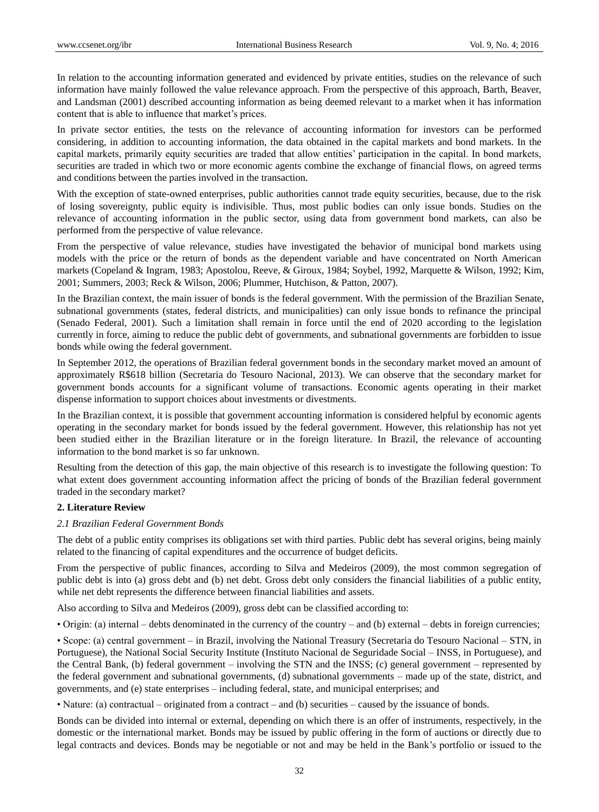In relation to the accounting information generated and evidenced by private entities, studies on the relevance of such information have mainly followed the value relevance approach. From the perspective of this approach, Barth, Beaver, and Landsman (2001) described accounting information as being deemed relevant to a market when it has information content that is able to influence that market's prices.

In private sector entities, the tests on the relevance of accounting information for investors can be performed considering, in addition to accounting information, the data obtained in the capital markets and bond markets. In the capital markets, primarily equity securities are traded that allow entities' participation in the capital. In bond markets, securities are traded in which two or more economic agents combine the exchange of financial flows, on agreed terms and conditions between the parties involved in the transaction.

With the exception of state-owned enterprises, public authorities cannot trade equity securities, because, due to the risk of losing sovereignty, public equity is indivisible. Thus, most public bodies can only issue bonds. Studies on the relevance of accounting information in the public sector, using data from government bond markets, can also be performed from the perspective of value relevance.

From the perspective of value relevance, studies have investigated the behavior of municipal bond markets using models with the price or the return of bonds as the dependent variable and have concentrated on North American markets (Copeland & Ingram, 1983; Apostolou, Reeve, & Giroux, 1984; Soybel, 1992, Marquette & Wilson, 1992; Kim, 2001; Summers, 2003; Reck & Wilson, 2006; Plummer, Hutchison, & Patton, 2007).

In the Brazilian context, the main issuer of bonds is the federal government. With the permission of the Brazilian Senate, subnational governments (states, federal districts, and municipalities) can only issue bonds to refinance the principal (Senado Federal, 2001). Such a limitation shall remain in force until the end of 2020 according to the legislation currently in force, aiming to reduce the public debt of governments, and subnational governments are forbidden to issue bonds while owing the federal government.

In September 2012, the operations of Brazilian federal government bonds in the secondary market moved an amount of approximately R\$618 billion (Secretaria do Tesouro Nacional, 2013). We can observe that the secondary market for government bonds accounts for a significant volume of transactions. Economic agents operating in their market dispense information to support choices about investments or divestments.

In the Brazilian context, it is possible that government accounting information is considered helpful by economic agents operating in the secondary market for bonds issued by the federal government. However, this relationship has not yet been studied either in the Brazilian literature or in the foreign literature. In Brazil, the relevance of accounting information to the bond market is so far unknown.

Resulting from the detection of this gap, the main objective of this research is to investigate the following question: To what extent does government accounting information affect the pricing of bonds of the Brazilian federal government traded in the secondary market?

## **2. Literature Review**

#### *2.1 Brazilian Federal Government Bonds*

The debt of a public entity comprises its obligations set with third parties. Public debt has several origins, being mainly related to the financing of capital expenditures and the occurrence of budget deficits.

From the perspective of public finances, according to Silva and Medeiros (2009), the most common segregation of public debt is into (a) gross debt and (b) net debt. Gross debt only considers the financial liabilities of a public entity, while net debt represents the difference between financial liabilities and assets.

Also according to Silva and Medeiros (2009), gross debt can be classified according to:

• Origin: (a) internal – debts denominated in the currency of the country – and (b) external – debts in foreign currencies;

• Scope: (a) central government – in Brazil, involving the National Treasury (Secretaria do Tesouro Nacional – STN, in Portuguese), the National Social Security Institute (Instituto Nacional de Seguridade Social – INSS, in Portuguese), and the Central Bank, (b) federal government – involving the STN and the INSS; (c) general government – represented by the federal government and subnational governments, (d) subnational governments – made up of the state, district, and governments, and (e) state enterprises – including federal, state, and municipal enterprises; and

• Nature: (a) contractual – originated from a contract – and (b) securities – caused by the issuance of bonds.

Bonds can be divided into internal or external, depending on which there is an offer of instruments, respectively, in the domestic or the international market. Bonds may be issued by public offering in the form of auctions or directly due to legal contracts and devices. Bonds may be negotiable or not and may be held in the Bank's portfolio or issued to the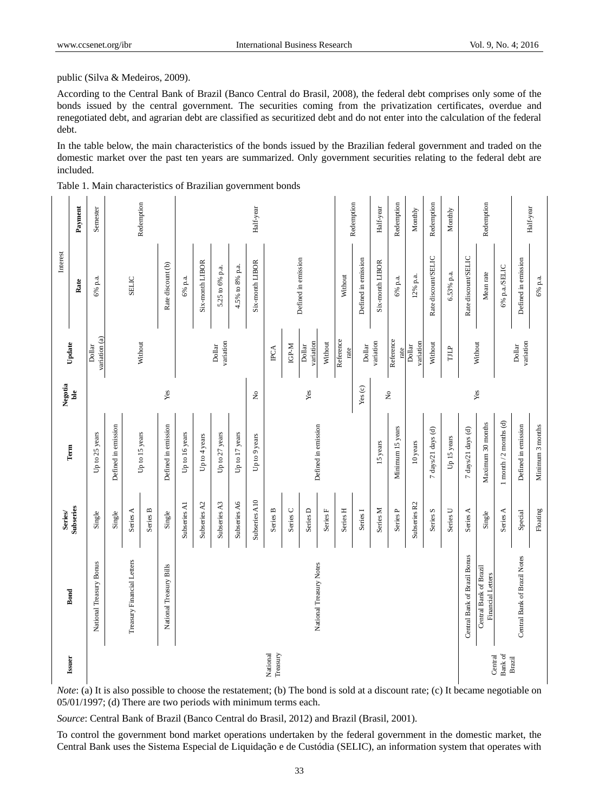public (Silva & Medeiros, 2009).

According to the Central Bank of Brazil (Banco Central do Brasil, 2008), the federal debt comprises only some of the bonds issued by the central government. The securities coming from the privatization certificates, overdue and renegotiated debt, and agrarian debt are classified as securitized debt and do not enter into the calculation of the federal debt.

In the table below, the main characteristics of the bonds issued by the Brazilian federal government and traded on the domestic market over the past ten years are summarized. Only government securities relating to the federal debt are included.

|                      | <b>Bond</b>                                 | Series/             | Term                              | Negotia       | Update                       | Interest            |            |
|----------------------|---------------------------------------------|---------------------|-----------------------------------|---------------|------------------------------|---------------------|------------|
| Issuer               |                                             | <b>Subseries</b>    |                                   | Ъe            |                              | Rate                | Payment    |
|                      | National Treasury Bonus                     | Single              | Up to 25 years                    |               | variation (a)<br>Dollar      | $6\%$ p.a.          | Semester   |
|                      |                                             | Single              | Defined in emission               |               |                              |                     |            |
|                      | Treasury Financial Letters                  | Series A            |                                   |               |                              | SELIC               |            |
|                      |                                             | Series B            | Up to 15 years                    |               | Without                      |                     | Redemption |
|                      | National Treasury Bills                     | Single              | Defined in emission               | Yes           |                              | Rate discount (b)   |            |
|                      |                                             | Subseries A1        | Up to 16 years                    |               |                              | $6\%$ p.a.          |            |
|                      |                                             | Subseries A2        | Up to 4 years                     |               |                              | Six-month LIBOR     |            |
|                      |                                             | Subseries A3        | Up to 27 years                    |               | variation<br>Dollar          | 5.25 to 6% p.a.     |            |
|                      |                                             | Subseries A6        | Up to 17 years                    |               |                              | 4.5% to 8% p.a.     |            |
|                      |                                             | Subseries A10       | Up to 9 years                     | $\tilde{z}$   |                              | Six-month LIBOR     | Half-year  |
| National<br>Treasury |                                             | Series B            |                                   |               | $_{\rm{PCA}}$                |                     |            |
|                      |                                             | Series C            |                                   |               | $\ensuremath{\text{IC-P-M}}$ |                     |            |
|                      |                                             | Series D            |                                   | Yes           | variation<br>Dollar          | Defined in emission |            |
|                      | National Treasury Notes                     | Series F            | Defined in emission               |               | Without                      |                     |            |
|                      |                                             | Series H            |                                   |               | Reference<br>rate            | Without             |            |
|                      |                                             | Series I            |                                   | Yes $(c)$     | Dollar                       | Defined in emission | Redemption |
|                      |                                             | Series <sub>M</sub> | 15 years                          |               | variation                    | Six-month LIBOR     | Half-year  |
|                      |                                             | Series P            | Minimum 15 years                  | $\frac{1}{2}$ | Reference<br>rate            | $6\%$ p.a.          | Redemption |
|                      |                                             | Subseries R2        | 10 years                          |               | variation<br>Dollar          | $12\%$ p.a.         | Monthly    |
|                      |                                             | Series S            | 7 days/21 days (d)                |               | Without                      | Rate discount/SELIC | Redemption |
|                      |                                             | Series U            | Up 15 years                       |               | TJLP                         | 6.53% p.a.          | Monthly    |
|                      | Central Bank of Brazil Bonus                | Series A            | 7 days/21 days (d)                |               |                              | Rate discount/SELIC |            |
| Central              | Central Bank of Brazil<br>Financial Letters | Single              | Maximum 30 months                 | Yes           | Without                      | Mean rate           | Redemption |
| Bank of              |                                             | Series A            | $1$ month $\prime$ 2 months $(d)$ |               |                              | 6% p.a./SELIC       |            |
| Brazil               | Central Bank of Brazil Notes                | Special             | Defined in emission               |               | variation<br>Dollar          | Defined in emission | Half-year  |
|                      |                                             | Floating            | Minimum 3 months                  |               |                              | 6% p.a.             |            |

Table 1. Main characteristics of Brazilian government bonds

*Note*: (a) It is also possible to choose the restatement; (b) The bond is sold at a discount rate; (c) It became negotiable on 05/01/1997; (d) There are two periods with minimum terms each.

 $\overline{\phantom{a}}$ 

*Source*: Central Bank of Brazil (Banco Central do Brasil, 2012) and Brazil (Brasil, 2001).

To control the government bond market operations undertaken by the federal government in the domestic market, the Central Bank uses the Sistema Especial de Liquidação e de Custódia (SELIC), an information system that operates with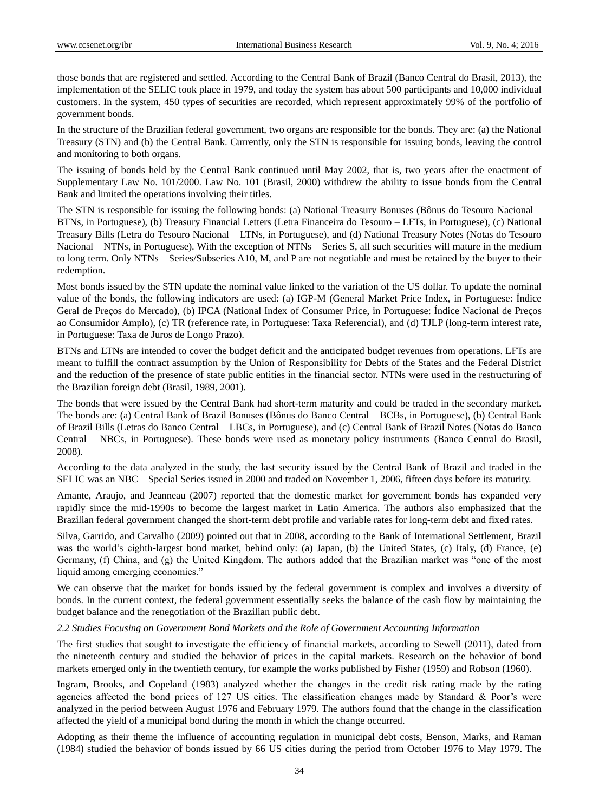those bonds that are registered and settled. According to the Central Bank of Brazil (Banco Central do Brasil, 2013), the implementation of the SELIC took place in 1979, and today the system has about 500 participants and 10,000 individual customers. In the system, 450 types of securities are recorded, which represent approximately 99% of the portfolio of government bonds.

In the structure of the Brazilian federal government, two organs are responsible for the bonds. They are: (a) the National Treasury (STN) and (b) the Central Bank. Currently, only the STN is responsible for issuing bonds, leaving the control and monitoring to both organs.

The issuing of bonds held by the Central Bank continued until May 2002, that is, two years after the enactment of Supplementary Law No. 101/2000. Law No. 101 (Brasil, 2000) withdrew the ability to issue bonds from the Central Bank and limited the operations involving their titles.

The STN is responsible for issuing the following bonds: (a) National Treasury Bonuses (Bônus do Tesouro Nacional – BTNs, in Portuguese), (b) Treasury Financial Letters (Letra Financeira do Tesouro – LFTs, in Portuguese), (c) National Treasury Bills (Letra do Tesouro Nacional – LTNs, in Portuguese), and (d) National Treasury Notes (Notas do Tesouro Nacional – NTNs, in Portuguese). With the exception of NTNs – Series S, all such securities will mature in the medium to long term. Only NTNs – Series/Subseries A10, M, and P are not negotiable and must be retained by the buyer to their redemption.

Most bonds issued by the STN update the nominal value linked to the variation of the US dollar. To update the nominal value of the bonds, the following indicators are used: (a) IGP-M (General Market Price Index, in Portuguese: Índice Geral de Preços do Mercado), (b) IPCA (National Index of Consumer Price, in Portuguese: Índice Nacional de Preços ao Consumidor Amplo), (c) TR (reference rate, in Portuguese: Taxa Referencial), and (d) TJLP (long-term interest rate, in Portuguese: Taxa de Juros de Longo Prazo).

BTNs and LTNs are intended to cover the budget deficit and the anticipated budget revenues from operations. LFTs are meant to fulfill the contract assumption by the Union of Responsibility for Debts of the States and the Federal District and the reduction of the presence of state public entities in the financial sector. NTNs were used in the restructuring of the Brazilian foreign debt (Brasil, 1989, 2001).

The bonds that were issued by the Central Bank had short-term maturity and could be traded in the secondary market. The bonds are: (a) Central Bank of Brazil Bonuses (Bônus do Banco Central – BCBs, in Portuguese), (b) Central Bank of Brazil Bills (Letras do Banco Central – LBCs, in Portuguese), and (c) Central Bank of Brazil Notes (Notas do Banco Central – NBCs, in Portuguese). These bonds were used as monetary policy instruments (Banco Central do Brasil, 2008).

According to the data analyzed in the study, the last security issued by the Central Bank of Brazil and traded in the SELIC was an NBC – Special Series issued in 2000 and traded on November 1, 2006, fifteen days before its maturity.

Amante, Araujo, and Jeanneau (2007) reported that the domestic market for government bonds has expanded very rapidly since the mid-1990s to become the largest market in Latin America. The authors also emphasized that the Brazilian federal government changed the short-term debt profile and variable rates for long-term debt and fixed rates.

Silva, Garrido, and Carvalho (2009) pointed out that in 2008, according to the Bank of International Settlement, Brazil was the world's eighth-largest bond market, behind only: (a) Japan, (b) the United States, (c) Italy, (d) France, (e) Germany, (f) China, and (g) the United Kingdom. The authors added that the Brazilian market was "one of the most liquid among emerging economies."

We can observe that the market for bonds issued by the federal government is complex and involves a diversity of bonds. In the current context, the federal government essentially seeks the balance of the cash flow by maintaining the budget balance and the renegotiation of the Brazilian public debt.

#### *2.2 Studies Focusing on Government Bond Markets and the Role of Government Accounting Information*

The first studies that sought to investigate the efficiency of financial markets, according to Sewell (2011), dated from the nineteenth century and studied the behavior of prices in the capital markets. Research on the behavior of bond markets emerged only in the twentieth century, for example the works published by Fisher (1959) and Robson (1960).

Ingram, Brooks, and Copeland (1983) analyzed whether the changes in the credit risk rating made by the rating agencies affected the bond prices of 127 US cities. The classification changes made by Standard & Poor's were analyzed in the period between August 1976 and February 1979. The authors found that the change in the classification affected the yield of a municipal bond during the month in which the change occurred.

Adopting as their theme the influence of accounting regulation in municipal debt costs, Benson, Marks, and Raman (1984) studied the behavior of bonds issued by 66 US cities during the period from October 1976 to May 1979. The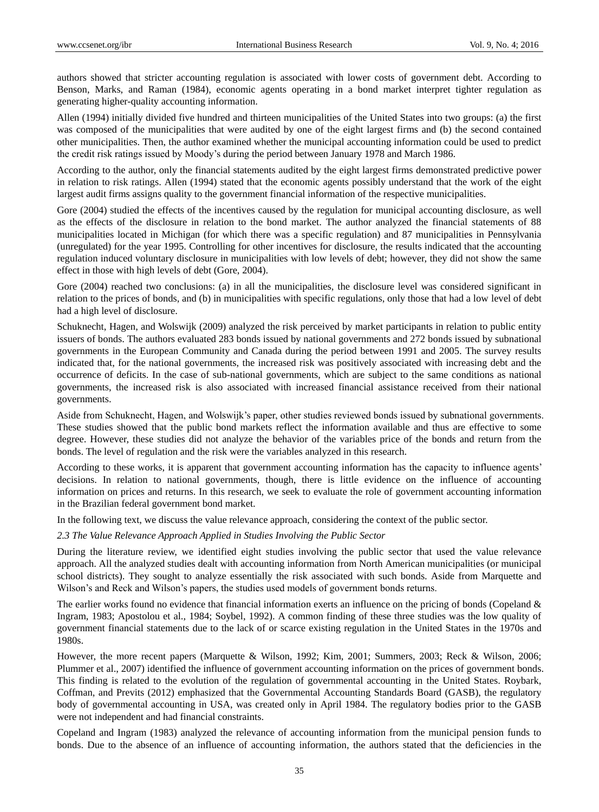authors showed that stricter accounting regulation is associated with lower costs of government debt. According to Benson, Marks, and Raman (1984), economic agents operating in a bond market interpret tighter regulation as generating higher-quality accounting information.

Allen (1994) initially divided five hundred and thirteen municipalities of the United States into two groups: (a) the first was composed of the municipalities that were audited by one of the eight largest firms and (b) the second contained other municipalities. Then, the author examined whether the municipal accounting information could be used to predict the credit risk ratings issued by Moody's during the period between January 1978 and March 1986.

According to the author, only the financial statements audited by the eight largest firms demonstrated predictive power in relation to risk ratings. Allen (1994) stated that the economic agents possibly understand that the work of the eight largest audit firms assigns quality to the government financial information of the respective municipalities.

Gore (2004) studied the effects of the incentives caused by the regulation for municipal accounting disclosure, as well as the effects of the disclosure in relation to the bond market. The author analyzed the financial statements of 88 municipalities located in Michigan (for which there was a specific regulation) and 87 municipalities in Pennsylvania (unregulated) for the year 1995. Controlling for other incentives for disclosure, the results indicated that the accounting regulation induced voluntary disclosure in municipalities with low levels of debt; however, they did not show the same effect in those with high levels of debt (Gore, 2004).

Gore (2004) reached two conclusions: (a) in all the municipalities, the disclosure level was considered significant in relation to the prices of bonds, and (b) in municipalities with specific regulations, only those that had a low level of debt had a high level of disclosure.

Schuknecht, Hagen, and Wolswijk (2009) analyzed the risk perceived by market participants in relation to public entity issuers of bonds. The authors evaluated 283 bonds issued by national governments and 272 bonds issued by subnational governments in the European Community and Canada during the period between 1991 and 2005. The survey results indicated that, for the national governments, the increased risk was positively associated with increasing debt and the occurrence of deficits. In the case of sub-national governments, which are subject to the same conditions as national governments, the increased risk is also associated with increased financial assistance received from their national governments.

Aside from Schuknecht, Hagen, and Wolswijk's paper, other studies reviewed bonds issued by subnational governments. These studies showed that the public bond markets reflect the information available and thus are effective to some degree. However, these studies did not analyze the behavior of the variables price of the bonds and return from the bonds. The level of regulation and the risk were the variables analyzed in this research.

According to these works, it is apparent that government accounting information has the capacity to influence agents' decisions. In relation to national governments, though, there is little evidence on the influence of accounting information on prices and returns. In this research, we seek to evaluate the role of government accounting information in the Brazilian federal government bond market.

In the following text, we discuss the value relevance approach, considering the context of the public sector.

#### *2.3 The Value Relevance Approach Applied in Studies Involving the Public Sector*

During the literature review, we identified eight studies involving the public sector that used the value relevance approach. All the analyzed studies dealt with accounting information from North American municipalities (or municipal school districts). They sought to analyze essentially the risk associated with such bonds. Aside from Marquette and Wilson's and Reck and Wilson's papers, the studies used models of government bonds returns.

The earlier works found no evidence that financial information exerts an influence on the pricing of bonds (Copeland  $\&$ Ingram, 1983; Apostolou et al., 1984; Soybel, 1992). A common finding of these three studies was the low quality of government financial statements due to the lack of or scarce existing regulation in the United States in the 1970s and 1980s.

However, the more recent papers (Marquette & Wilson, 1992; Kim, 2001; Summers, 2003; Reck & Wilson, 2006; Plummer et al., 2007) identified the influence of government accounting information on the prices of government bonds. This finding is related to the evolution of the regulation of governmental accounting in the United States. Roybark, Coffman, and Previts (2012) emphasized that the Governmental Accounting Standards Board (GASB), the regulatory body of governmental accounting in USA, was created only in April 1984. The regulatory bodies prior to the GASB were not independent and had financial constraints.

Copeland and Ingram (1983) analyzed the relevance of accounting information from the municipal pension funds to bonds. Due to the absence of an influence of accounting information, the authors stated that the deficiencies in the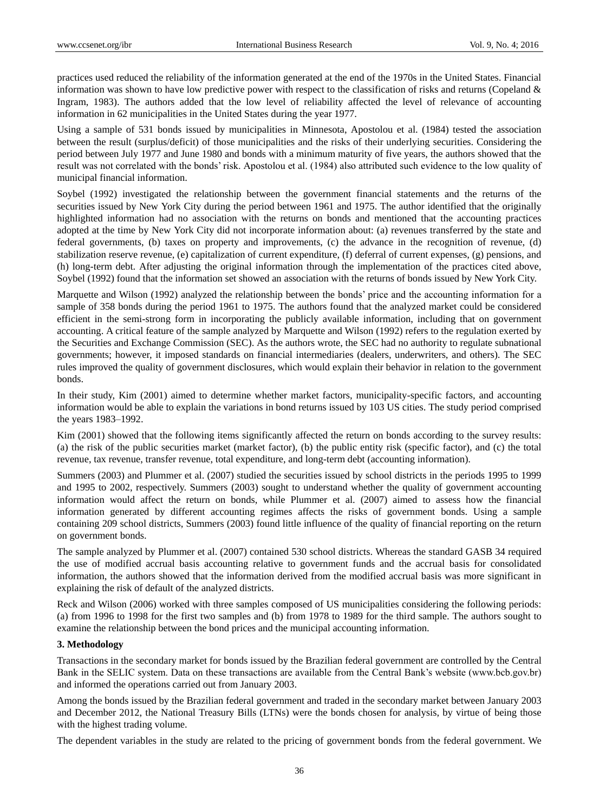practices used reduced the reliability of the information generated at the end of the 1970s in the United States. Financial information was shown to have low predictive power with respect to the classification of risks and returns (Copeland & Ingram, 1983). The authors added that the low level of reliability affected the level of relevance of accounting information in 62 municipalities in the United States during the year 1977.

Using a sample of 531 bonds issued by municipalities in Minnesota, Apostolou et al. (1984) tested the association between the result (surplus/deficit) of those municipalities and the risks of their underlying securities. Considering the period between July 1977 and June 1980 and bonds with a minimum maturity of five years, the authors showed that the result was not correlated with the bonds' risk. Apostolou et al. (1984) also attributed such evidence to the low quality of municipal financial information.

Soybel (1992) investigated the relationship between the government financial statements and the returns of the securities issued by New York City during the period between 1961 and 1975. The author identified that the originally highlighted information had no association with the returns on bonds and mentioned that the accounting practices adopted at the time by New York City did not incorporate information about: (a) revenues transferred by the state and federal governments, (b) taxes on property and improvements, (c) the advance in the recognition of revenue, (d) stabilization reserve revenue, (e) capitalization of current expenditure, (f) deferral of current expenses, (g) pensions, and (h) long-term debt. After adjusting the original information through the implementation of the practices cited above, Soybel (1992) found that the information set showed an association with the returns of bonds issued by New York City.

Marquette and Wilson (1992) analyzed the relationship between the bonds' price and the accounting information for a sample of 358 bonds during the period 1961 to 1975. The authors found that the analyzed market could be considered efficient in the semi-strong form in incorporating the publicly available information, including that on government accounting. A critical feature of the sample analyzed by Marquette and Wilson (1992) refers to the regulation exerted by the Securities and Exchange Commission (SEC). As the authors wrote, the SEC had no authority to regulate subnational governments; however, it imposed standards on financial intermediaries (dealers, underwriters, and others). The SEC rules improved the quality of government disclosures, which would explain their behavior in relation to the government bonds.

In their study, Kim (2001) aimed to determine whether market factors, municipality-specific factors, and accounting information would be able to explain the variations in bond returns issued by 103 US cities. The study period comprised the years 1983–1992.

Kim (2001) showed that the following items significantly affected the return on bonds according to the survey results: (a) the risk of the public securities market (market factor), (b) the public entity risk (specific factor), and (c) the total revenue, tax revenue, transfer revenue, total expenditure, and long-term debt (accounting information).

Summers (2003) and Plummer et al. (2007) studied the securities issued by school districts in the periods 1995 to 1999 and 1995 to 2002, respectively. Summers (2003) sought to understand whether the quality of government accounting information would affect the return on bonds, while Plummer et al. (2007) aimed to assess how the financial information generated by different accounting regimes affects the risks of government bonds. Using a sample containing 209 school districts, Summers (2003) found little influence of the quality of financial reporting on the return on government bonds.

The sample analyzed by Plummer et al. (2007) contained 530 school districts. Whereas the standard GASB 34 required the use of modified accrual basis accounting relative to government funds and the accrual basis for consolidated information, the authors showed that the information derived from the modified accrual basis was more significant in explaining the risk of default of the analyzed districts.

Reck and Wilson (2006) worked with three samples composed of US municipalities considering the following periods: (a) from 1996 to 1998 for the first two samples and (b) from 1978 to 1989 for the third sample. The authors sought to examine the relationship between the bond prices and the municipal accounting information.

#### **3. Methodology**

Transactions in the secondary market for bonds issued by the Brazilian federal government are controlled by the Central Bank in the SELIC system. Data on these transactions are available from the Central Bank's website (www.bcb.gov.br) and informed the operations carried out from January 2003.

Among the bonds issued by the Brazilian federal government and traded in the secondary market between January 2003 and December 2012, the National Treasury Bills (LTNs) were the bonds chosen for analysis, by virtue of being those with the highest trading volume.

The dependent variables in the study are related to the pricing of government bonds from the federal government. We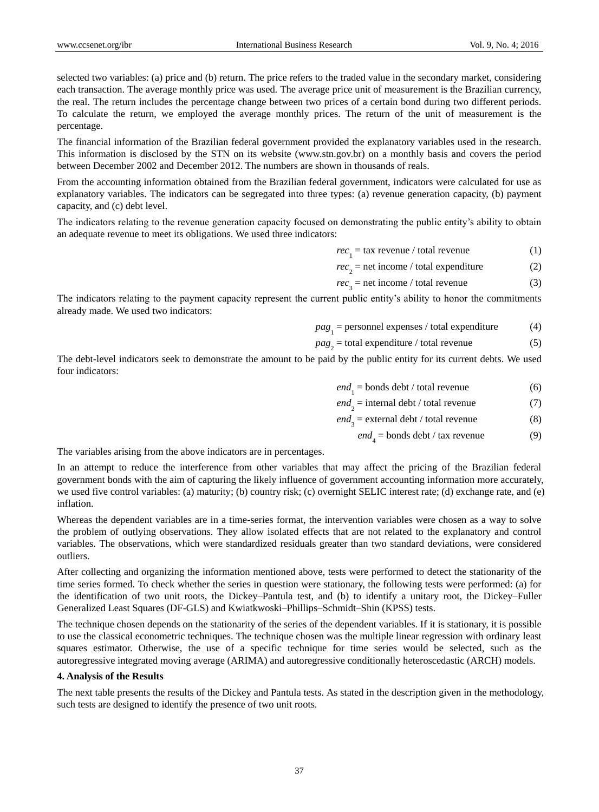selected two variables: (a) price and (b) return. The price refers to the traded value in the secondary market, considering each transaction. The average monthly price was used. The average price unit of measurement is the Brazilian currency, the real. The return includes the percentage change between two prices of a certain bond during two different periods. To calculate the return, we employed the average monthly prices. The return of the unit of measurement is the percentage.

The financial information of the Brazilian federal government provided the explanatory variables used in the research. This information is disclosed by the STN on its website (www.stn.gov.br) on a monthly basis and covers the period between December 2002 and December 2012. The numbers are shown in thousands of reals.

From the accounting information obtained from the Brazilian federal government, indicators were calculated for use as explanatory variables. The indicators can be segregated into three types: (a) revenue generation capacity, (b) payment capacity, and (c) debt level.

The indicators relating to the revenue generation capacity focused on demonstrating the public entity's ability to obtain an adequate revenue to meet its obligations. We used three indicators:

 $rec_1$  = tax revenue / total revenue (1)

 $rec_2$  = net income / total expenditure (2)

 $rec<sub>3</sub>$  = net income / total revenue (3)

The indicators relating to the payment capacity represent the current public entity's ability to honor the commitments already made. We used two indicators:

*pag* 1 = personnel expenses / total expenditure (4)

$$
pag2 = total expenditure / total revenue
$$
 (5)

The debt-level indicators seek to demonstrate the amount to be paid by the public entity for its current debts. We used four indicators:

 $end_1$  = bonds debt / total revenue (6)

$$
end2 = internal debt / total revenue
$$
 (7)

*end* 3 = external debt / total revenue (8)

*end* 4 = bonds debt / tax revenue (9)

The variables arising from the above indicators are in percentages.

In an attempt to reduce the interference from other variables that may affect the pricing of the Brazilian federal government bonds with the aim of capturing the likely influence of government accounting information more accurately, we used five control variables: (a) maturity; (b) country risk; (c) overnight SELIC interest rate; (d) exchange rate, and (e) inflation.

Whereas the dependent variables are in a time-series format, the intervention variables were chosen as a way to solve the problem of outlying observations. They allow isolated effects that are not related to the explanatory and control variables. The observations, which were standardized residuals greater than two standard deviations, were considered outliers.

After collecting and organizing the information mentioned above, tests were performed to detect the stationarity of the time series formed. To check whether the series in question were stationary, the following tests were performed: (a) for the identification of two unit roots, the Dickey–Pantula test, and (b) to identify a unitary root, the Dickey–Fuller Generalized Least Squares (DF-GLS) and Kwiatkwoski–Phillips–Schmidt–Shin (KPSS) tests.

The technique chosen depends on the stationarity of the series of the dependent variables. If it is stationary, it is possible to use the classical econometric techniques. The technique chosen was the multiple linear regression with ordinary least squares estimator. Otherwise, the use of a specific technique for time series would be selected, such as the autoregressive integrated moving average (ARIMA) and autoregressive conditionally heteroscedastic (ARCH) models.

#### **4. Analysis of the Results**

The next table presents the results of the Dickey and Pantula tests. As stated in the description given in the methodology, such tests are designed to identify the presence of two unit roots.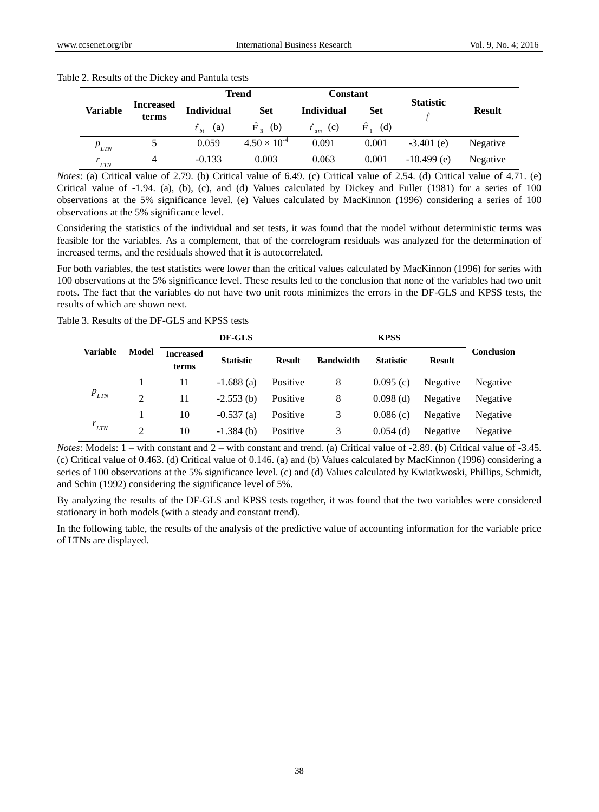|                 |                           | <b>Trend</b>                    |                       | Constant                        |                             | <b>Statistic</b> |               |  |
|-----------------|---------------------------|---------------------------------|-----------------------|---------------------------------|-----------------------------|------------------|---------------|--|
| <b>Variable</b> | <b>Increased</b><br>terms | <b>Individual</b><br><b>Set</b> |                       | <b>Individual</b><br><b>Set</b> |                             |                  | <b>Result</b> |  |
|                 |                           | (a)<br>$\hat{t}_{h}$            | $\hat{F}_3$ (b)       | $\hat{t}_{am}$ (c)              | $\hat{\mathbf{F}}$ .<br>(d) |                  |               |  |
| $P_{LTN}$       |                           | 0.059                           | $4.50 \times 10^{-4}$ | 0.091                           | 0.001                       | $-3.401$ (e)     | Negative      |  |
| <b>LTN</b>      | 4                         | $-0.133$                        | 0.003                 | 0.063                           | 0.001                       | $-10.499$ (e)    | Negative      |  |

Table 2. Results of the Dickey and Pantula tests

*Notes*: (a) Critical value of 2.79. (b) Critical value of 6.49. (c) Critical value of 2.54. (d) Critical value of 4.71. (e) Critical value of -1.94. (a), (b), (c), and (d) Values calculated by Dickey and Fuller (1981) for a series of 100 observations at the 5% significance level. (e) Values calculated by MacKinnon (1996) considering a series of 100 observations at the 5% significance level.

Considering the statistics of the individual and set tests, it was found that the model without deterministic terms was feasible for the variables. As a complement, that of the correlogram residuals was analyzed for the determination of increased terms, and the residuals showed that it is autocorrelated.

For both variables, the test statistics were lower than the critical values calculated by MacKinnon (1996) for series with 100 observations at the 5% significance level. These results led to the conclusion that none of the variables had two unit roots. The fact that the variables do not have two unit roots minimizes the errors in the DF-GLS and KPSS tests, the results of which are shown next.

Table 3. Results of the DF-GLS and KPSS tests

| <b>Variable</b> |                | DF-GLS                    |                  |               |                  |                  |               |            |
|-----------------|----------------|---------------------------|------------------|---------------|------------------|------------------|---------------|------------|
|                 | Model          | <b>Increased</b><br>terms | <b>Statistic</b> | <b>Result</b> | <b>Bandwidth</b> | <b>Statistic</b> | <b>Result</b> | Conclusion |
| $P_{LTN}$       |                | 11                        | $-1.688(a)$      | Positive      | 8                | 0.095(c)         | Negative      | Negative   |
|                 | $\overline{2}$ | 11                        | $-2.553$ (b)     | Positive      | 8                | $0.098$ (d)      | Negative      | Negative   |
|                 |                | 10                        | $-0.537(a)$      | Positive      | 3                | 0.086(c)         | Negative      | Negative   |
| <b>LTN</b>      | $\overline{2}$ | 10                        | $-1.384$ (b)     | Positive      | 3                | $0.054$ (d)      | Negative      | Negative   |

*Notes*: Models: 1 – with constant and 2 – with constant and trend. (a) Critical value of -2.89. (b) Critical value of -3.45. (c) Critical value of 0.463. (d) Critical value of 0.146. (a) and (b) Values calculated by MacKinnon (1996) considering a series of 100 observations at the 5% significance level. (c) and (d) Values calculated by Kwiatkwoski, Phillips, Schmidt, and Schin (1992) considering the significance level of 5%.

By analyzing the results of the DF-GLS and KPSS tests together, it was found that the two variables were considered stationary in both models (with a steady and constant trend).

In the following table, the results of the analysis of the predictive value of accounting information for the variable price of LTNs are displayed.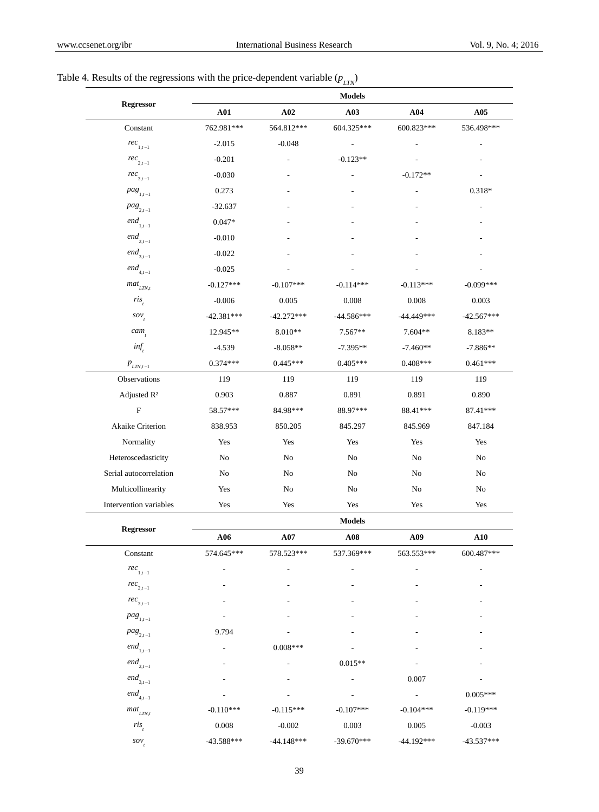|                                     |              |              | LI IV<br><b>Models</b>   |                          |                          |
|-------------------------------------|--------------|--------------|--------------------------|--------------------------|--------------------------|
| <b>Regressor</b>                    | A01          | A02          | A03                      | A04                      | A05                      |
| Constant                            | 762.981***   | 564.812***   | 604.325***               | 600.823***               | 536.498***               |
| $rec_{1,t-1}$                       | $-2.015$     | $-0.048$     |                          |                          |                          |
| $rec_{_{2,t-1}}$                    | $-0.201$     |              | $-0.123**$               |                          |                          |
| $rec_{3,t-1}$                       | $-0.030$     |              |                          | $-0.172**$               |                          |
| $pa{g_{_{1,t-1}}}$                  | 0.273        |              |                          |                          | 0.318*                   |
| $pag_{2,t-1}$                       | $-32.637$    |              |                          |                          |                          |
| $\mathit{end}_{_{1,t-1}}$           | $0.047*$     |              |                          |                          |                          |
| $\mathit{end}_{_{2,t-1}}$           | $-0.010$     |              |                          |                          |                          |
| $end_{3,t-1}$                       | $-0.022$     |              |                          |                          |                          |
| $\mathit{end}_{_{4,t-1}}$           | $-0.025$     |              |                          |                          |                          |
| $\mathit{mat}_{_{LTN,t}}$           | $-0.127***$  | $-0.107***$  | $-0.114***$              | $-0.113***$              | $-0.099***$              |
| $\frac{ris}{t}$                     | $-0.006$     | 0.005        | 0.008                    | 0.008                    | 0.003                    |
| $sov_t$                             | $-42.381***$ | $-42.272***$ | $-44.586***$             | -44.449***               | $-42.567***$             |
| cam                                 | 12.945**     | 8.010**      | 7.567**                  | $7.604**$                | 8.183**                  |
| $inf_{t}$                           | $-4.539$     | $-8.058**$   | $-7.395**$               | $-7.460**$               | $-7.886**$               |
| $\boldsymbol{P}_{\textit{LTN},t-1}$ | $0.374***$   | $0.445***$   | $0.405***$               | $0.408***$               | $0.461***$               |
| Observations                        | 119          | 119          | 119                      | 119                      | 119                      |
| Adjusted R <sup>2</sup>             | 0.903        | 0.887        | 0.891                    | 0.891                    | 0.890                    |
| $\mathbf F$                         | 58.57***     | 84.98***     | 88.97***                 | 88.41***                 | 87.41***                 |
| Akaike Criterion                    | 838.953      | 850.205      | 845.297                  | 845.969                  | 847.184                  |
| Normality                           | Yes          | Yes          | Yes                      | Yes                      | Yes                      |
| Heteroscedasticity                  | No           | No           | $\rm No$                 | No                       | $\rm No$                 |
| Serial autocorrelation              | No           | No           | No                       | No                       | No                       |
| Multicollinearity                   | Yes          | No           | No                       | No                       | No                       |
| Intervention variables              | Yes          | Yes          | Yes                      | Yes                      | Yes                      |
|                                     |              |              | <b>Models</b>            |                          |                          |
| <b>Regressor</b>                    | A06          | A07          | A08                      | A09                      | A10                      |
| Constant                            | 574.645***   | 578.523***   | 537.369***               | 563.553***               | 600.487***               |
| $rec_{1,t-1}$                       | L,           |              | $\overline{\phantom{a}}$ |                          | $\overline{\phantom{a}}$ |
| $rec_{2,t-1}$                       |              |              |                          |                          |                          |
| $rec_{_{3,t-1}}$                    |              |              |                          |                          |                          |
| $pag_{_{1,t-1}}$                    |              |              |                          |                          |                          |
| $pag_{_{2,t-1}}$                    | 9.794        |              |                          |                          |                          |
| $end_{1,t-1}$                       |              | $0.008***$   |                          |                          |                          |
| $end_{2,t-1}$                       |              |              | $0.015**$                |                          |                          |
| $end_{3,t-1}$                       |              |              |                          | 0.007                    |                          |
| $\mathit{end}_{_{4,t-1}}$           |              |              |                          | $\overline{\phantom{a}}$ | $0.005***$               |
| $\mathit{mat}_{_{LTN,t}}$           | $-0.110***$  | $-0.115***$  | $-0.107***$              | $-0.104***$              | $-0.119***$              |
| $ris_{t}$                           | 0.008        | $-0.002$     | 0.003                    | 0.005                    | $-0.003$                 |

# Table 4. Results of the regressions with the price-dependent variable  $(p_{LTN})$

 $-43.588***$   $-44.148***$   $-39.670***$   $-44.192***$   $-43.537***$ 

*sov t*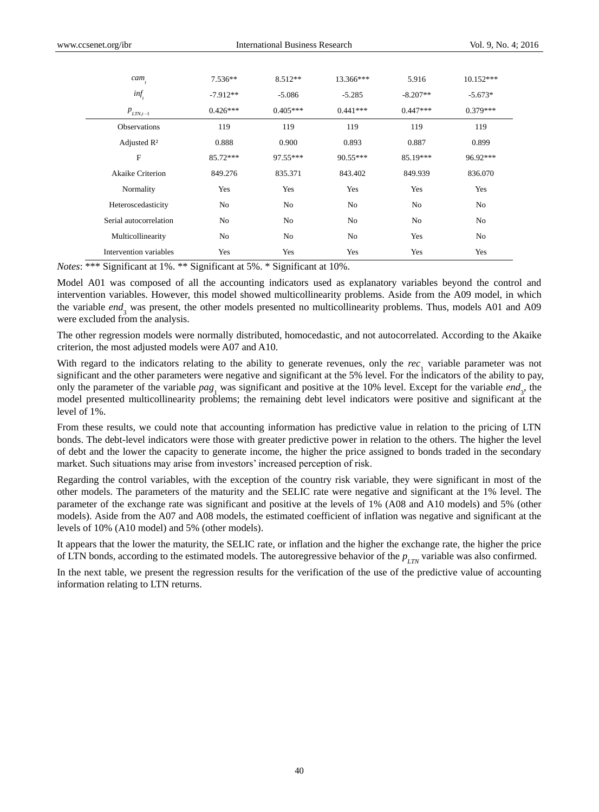| cam                    | $7.536**$      | $8.512**$      | 13.366***      | 5.916          | $10.152***$    |
|------------------------|----------------|----------------|----------------|----------------|----------------|
| inf                    | $-7.912**$     | $-5.086$       | $-5.285$       | $-8.207**$     | $-5.673*$      |
| $P_{LTN,t-1}$          | $0.426***$     | $0.405***$     | $0.441***$     | $0.447***$     | $0.379***$     |
| <b>Observations</b>    | 119            | 119            | 119            | 119            | 119            |
| Adjusted $R^2$         | 0.888          | 0.900          | 0.893          | 0.887          | 0.899          |
| $\mathbf{F}$           | $85.72***$     | $97.55***$     | $90.55***$     | 85.19***       | $96.92***$     |
| Akaike Criterion       | 849.276        | 835.371        | 843.402        | 849.939        | 836.070        |
| Normality              | Yes            | Yes            | Yes            | Yes            | Yes            |
| Heteroscedasticity     | N <sub>0</sub> | N <sub>0</sub> | N <sub>0</sub> | N <sub>0</sub> | N <sub>0</sub> |
| Serial autocorrelation | N <sub>0</sub> | N <sub>0</sub> | N <sub>0</sub> | N <sub>0</sub> | N <sub>0</sub> |
| Multicollinearity      | N <sub>0</sub> | N <sub>0</sub> | N <sub>0</sub> | Yes            | N <sub>0</sub> |
| Intervention variables | Yes            | Yes            | Yes            | Yes            | Yes            |

*Notes*: \*\*\* Significant at 1%. \*\* Significant at 5%. \* Significant at 10%.

Model A01 was composed of all the accounting indicators used as explanatory variables beyond the control and intervention variables. However, this model showed multicollinearity problems. Aside from the A09 model, in which the variable *end*<sub>2</sub> was present, the other models presented no multicollinearity problems. Thus, models A01 and A09 were excluded from the analysis.

The other regression models were normally distributed, homocedastic, and not autocorrelated. According to the Akaike criterion, the most adjusted models were A07 and A10.

With regard to the indicators relating to the ability to generate revenues, only the  $rec<sub>1</sub>$  variable parameter was not significant and the other parameters were negative and significant at the 5% level. For the indicators of the ability to pay, only the parameter of the variable *pag* was significant and positive at the 10% level. Except for the variable *end* , the  $\frac{1}{2}$  model presented multicollinearity problems; the remaining debt level indicators were positive and significant at the level of 1%.

From these results, we could note that accounting information has predictive value in relation to the pricing of LTN bonds. The debt-level indicators were those with greater predictive power in relation to the others. The higher the level of debt and the lower the capacity to generate income, the higher the price assigned to bonds traded in the secondary market. Such situations may arise from investors' increased perception of risk.

Regarding the control variables, with the exception of the country risk variable, they were significant in most of the other models. The parameters of the maturity and the SELIC rate were negative and significant at the 1% level. The parameter of the exchange rate was significant and positive at the levels of 1% (A08 and A10 models) and 5% (other models). Aside from the A07 and A08 models, the estimated coefficient of inflation was negative and significant at the levels of 10% (A10 model) and 5% (other models).

It appears that the lower the maturity, the SELIC rate, or inflation and the higher the exchange rate, the higher the price of LTN bonds, according to the estimated models. The autoregressive behavior of the *p LTN* variable was also confirmed.

In the next table, we present the regression results for the verification of the use of the predictive value of accounting information relating to LTN returns.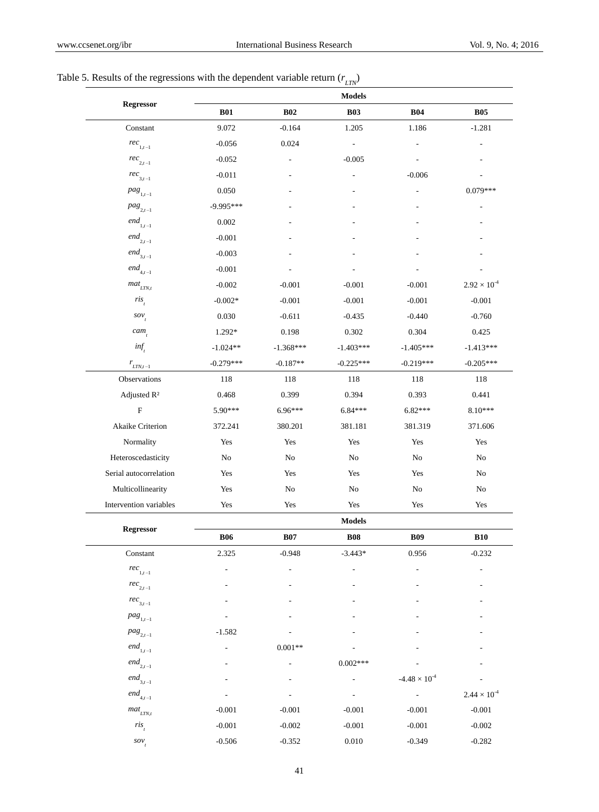|                           |             |             | <b>Models</b>  |                        |                          |  |
|---------------------------|-------------|-------------|----------------|------------------------|--------------------------|--|
| Regressor                 | <b>B01</b>  | <b>B02</b>  | <b>B03</b>     | <b>B04</b>             | ${\bf B05}$              |  |
| Constant                  | 9.072       | $-0.164$    | 1.205          | 1.186                  | $-1.281$                 |  |
| $rec_{1,t-1}$             | $-0.056$    | 0.024       | $\blacksquare$ |                        |                          |  |
| $rec_{_{2,t-1}}$          | $-0.052$    |             | $-0.005$       |                        |                          |  |
| $rec_{_{3,t-1}}$          | $-0.011$    |             |                | $-0.006$               |                          |  |
| $pag_{_{1,t-1}}$          | 0.050       |             |                |                        | $0.079***$               |  |
| $pag_{_{2,t-1}}$          | $-9.995***$ |             |                |                        |                          |  |
| $end_{1,t-1}$             | 0.002       |             |                |                        |                          |  |
| $\mathit{end}_{_{2,t-1}}$ | $-0.001$    |             |                |                        |                          |  |
| $end_{3,t-1}$             | $-0.003$    |             |                |                        |                          |  |
| $end_{_{4,t-1}}$          | $-0.001$    |             |                |                        |                          |  |
| $\mathit{mat}_{_{LTN,t}}$ | $-0.002$    | $-0.001$    | $-0.001$       | $-0.001$               | $2.92 \times 10^{-4}$    |  |
| $ris_{t}$                 | $-0.002*$   | $-0.001$    | $-0.001$       | $-0.001$               | $-0.001$                 |  |
| $sov_t$                   | 0.030       | $-0.611$    | $-0.435$       | $-0.440$               | $-0.760$                 |  |
| cam                       | 1.292*      | 0.198       | 0.302          | 0.304                  | 0.425                    |  |
| $inf_{t}$                 | $-1.024**$  | $-1.368***$ | $-1.403***$    | $-1.405***$            | $-1.413***$              |  |
| $r_{\text{LTN},t-1}$      | $-0.279***$ | $-0.187**$  | $-0.225***$    | $-0.219***$            | $-0.205***$              |  |
| Observations              | 118         | 118         | 118            | 118                    | 118                      |  |
| Adjusted R <sup>2</sup>   | 0.468       | 0.399       | 0.394          | 0.393                  | 0.441                    |  |
| ${\bf F}$                 | 5.90***     | $6.96***$   | $6.84***$      | $6.82***$              | 8.10***                  |  |
| Akaike Criterion          | 372.241     | 380.201     | 381.181        | 381.319                | 371.606                  |  |
| Normality                 | Yes         | Yes         | Yes            | Yes                    | Yes                      |  |
| Heteroscedasticity        | $\rm No$    | $\rm No$    | $\rm No$       | $\rm No$               | $\rm No$                 |  |
| Serial autocorrelation    | Yes         | Yes         | Yes            | Yes                    | No                       |  |
| Multicollinearity         | Yes         | $\rm No$    | No             | $\rm No$               | $\rm No$                 |  |
| Intervention variables    | Yes         | Yes         | Yes            | Yes                    | Yes                      |  |
|                           |             |             | <b>Models</b>  |                        |                          |  |
| <b>Regressor</b>          | <b>B06</b>  | <b>B07</b>  | <b>B08</b>     | <b>B09</b>             | <b>B10</b>               |  |
| Constant                  | 2.325       | $-0.948$    | $-3.443*$      | 0.956                  | $-0.232$                 |  |
| $rec_{1,t-1}$             |             |             |                |                        | $\overline{\phantom{a}}$ |  |
| $rec_{2,t-1}$             |             |             |                |                        |                          |  |
| $rec_{3,t-1}$             |             |             |                |                        |                          |  |
| $pa{g_{_{1,t-1}}}$        |             |             |                |                        |                          |  |
| $pag_{_{2,t-1}}$          | $-1.582$    |             |                |                        |                          |  |
| $\mathit{end}_{_{1,t-1}}$ |             | $0.001**$   |                |                        |                          |  |
| $\mathit{end}_{2,t-1}$    |             |             | $0.002***$     |                        |                          |  |
| $end_{3,t-1}$             |             |             |                | $-4.48 \times 10^{-4}$ |                          |  |
| $\mathit{end}_{_{4,t-1}}$ |             |             |                | $\sim$                 | $2.44 \times 10^{-4}$    |  |
| $\mathit{mat}_{_{LTN,t}}$ | $-0.001$    | $-0.001$    | $-0.001$       | $-0.001$               | $-0.001$                 |  |
| $ris_{t}$                 | $-0.001$    | $-0.002$    | $-0.001$       | $-0.001$               | $-0.002$                 |  |
| $sov$ <sub>t</sub>        | $-0.506$    | $-0.352$    | 0.010          | $-0.349$               | $-0.282$                 |  |

## Table 5. Results of the regressions with the dependent variable return  $(r_{LTN})$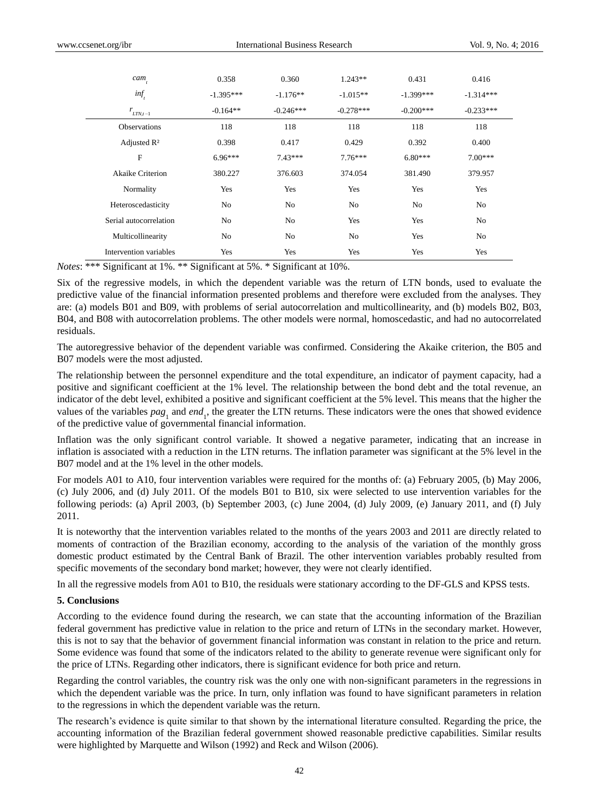| cam                    | 0.358          | 0.360          | $1.243**$   | 0.431          | 0.416          |
|------------------------|----------------|----------------|-------------|----------------|----------------|
| inf                    | $-1.395***$    | $-1.176**$     | $-1.015**$  | $-1.399***$    | $-1.314***$    |
| $r_{LTN,t-1}$          | $-0.164**$     | $-0.246***$    | $-0.278***$ | $-0.200***$    | $-0.233***$    |
| <b>Observations</b>    | 118            | 118            | 118         | 118            | 118            |
| Adjusted $R^2$         | 0.398          | 0.417          | 0.429       | 0.392          | 0.400          |
| $\mathbf{F}$           | $6.96***$      | $7.43***$      | $7.76***$   | $6.80***$      | $7.00***$      |
| Akaike Criterion       | 380.227        | 376.603        | 374.054     | 381.490        | 379.957        |
| Normality              | Yes            | Yes            | Yes         | Yes            | Yes            |
| Heteroscedasticity     | N <sub>0</sub> | N <sub>0</sub> | No          | N <sub>0</sub> | N <sub>0</sub> |
| Serial autocorrelation | N <sub>0</sub> | N <sub>0</sub> | Yes         | Yes            | N <sub>0</sub> |
| Multicollinearity      | No             | No             | No          | Yes            | No             |
| Intervention variables | Yes            | Yes            | Yes         | Yes            | Yes            |

*Notes*: \*\*\* Significant at 1%. \*\* Significant at 5%. \* Significant at 10%.

Six of the regressive models, in which the dependent variable was the return of LTN bonds, used to evaluate the predictive value of the financial information presented problems and therefore were excluded from the analyses. They are: (a) models B01 and B09, with problems of serial autocorrelation and multicollinearity, and (b) models B02, B03, B04, and B08 with autocorrelation problems. The other models were normal, homoscedastic, and had no autocorrelated residuals.

The autoregressive behavior of the dependent variable was confirmed. Considering the Akaike criterion, the B05 and B07 models were the most adjusted.

The relationship between the personnel expenditure and the total expenditure, an indicator of payment capacity, had a positive and significant coefficient at the 1% level. The relationship between the bond debt and the total revenue, an indicator of the debt level, exhibited a positive and significant coefficient at the 5% level. This means that the higher the values of the variables  $pag_1$  and  $end_1$ , the greater the LTN returns. These indicators were the ones that showed evidence of the predictive value of governmental financial information.

Inflation was the only significant control variable. It showed a negative parameter, indicating that an increase in inflation is associated with a reduction in the LTN returns. The inflation parameter was significant at the 5% level in the B07 model and at the 1% level in the other models.

For models A01 to A10, four intervention variables were required for the months of: (a) February 2005, (b) May 2006, (c) July 2006, and (d) July 2011. Of the models B01 to B10, six were selected to use intervention variables for the following periods: (a) April 2003, (b) September 2003, (c) June 2004, (d) July 2009, (e) January 2011, and (f) July 2011.

It is noteworthy that the intervention variables related to the months of the years 2003 and 2011 are directly related to moments of contraction of the Brazilian economy, according to the analysis of the variation of the monthly gross domestic product estimated by the Central Bank of Brazil. The other intervention variables probably resulted from specific movements of the secondary bond market; however, they were not clearly identified.

In all the regressive models from A01 to B10, the residuals were stationary according to the DF-GLS and KPSS tests.

#### **5. Conclusions**

According to the evidence found during the research, we can state that the accounting information of the Brazilian federal government has predictive value in relation to the price and return of LTNs in the secondary market. However, this is not to say that the behavior of government financial information was constant in relation to the price and return. Some evidence was found that some of the indicators related to the ability to generate revenue were significant only for the price of LTNs. Regarding other indicators, there is significant evidence for both price and return.

Regarding the control variables, the country risk was the only one with non-significant parameters in the regressions in which the dependent variable was the price. In turn, only inflation was found to have significant parameters in relation to the regressions in which the dependent variable was the return.

The research's evidence is quite similar to that shown by the international literature consulted. Regarding the price, the accounting information of the Brazilian federal government showed reasonable predictive capabilities. Similar results were highlighted by Marquette and Wilson (1992) and Reck and Wilson (2006).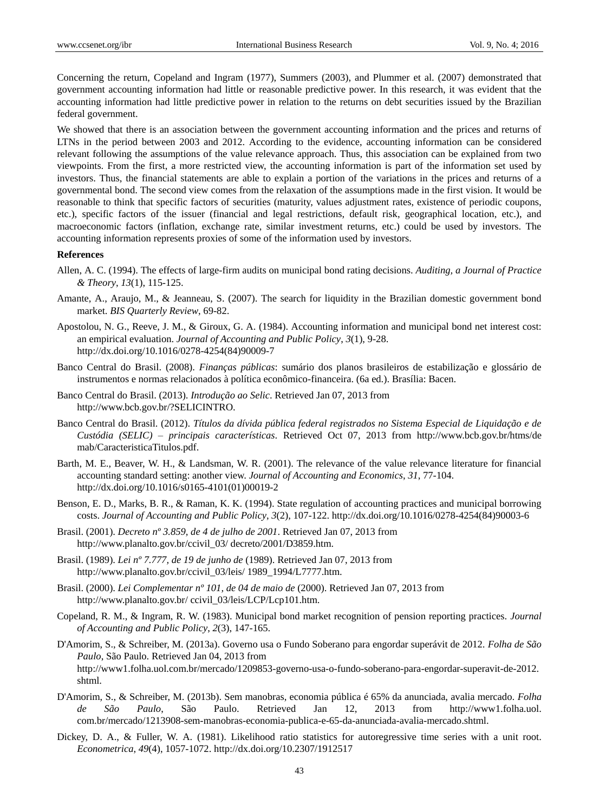Concerning the return, Copeland and Ingram (1977), Summers (2003), and Plummer et al. (2007) demonstrated that government accounting information had little or reasonable predictive power. In this research, it was evident that the accounting information had little predictive power in relation to the returns on debt securities issued by the Brazilian federal government.

We showed that there is an association between the government accounting information and the prices and returns of LTNs in the period between 2003 and 2012. According to the evidence, accounting information can be considered relevant following the assumptions of the value relevance approach. Thus, this association can be explained from two viewpoints. From the first, a more restricted view, the accounting information is part of the information set used by investors. Thus, the financial statements are able to explain a portion of the variations in the prices and returns of a governmental bond. The second view comes from the relaxation of the assumptions made in the first vision. It would be reasonable to think that specific factors of securities (maturity, values adjustment rates, existence of periodic coupons, etc.), specific factors of the issuer (financial and legal restrictions, default risk, geographical location, etc.), and macroeconomic factors (inflation, exchange rate, similar investment returns, etc.) could be used by investors. The accounting information represents proxies of some of the information used by investors.

#### **References**

- Allen, A. C. (1994). The effects of large-firm audits on municipal bond rating decisions. *Auditing, a Journal of Practice & Theory*, *13*(1), 115-125.
- Amante, A., Araujo, M., & Jeanneau, S. (2007). The search for liquidity in the Brazilian domestic government bond market. *BIS Quarterly Review*, 69-82.
- Apostolou, N. G., Reeve, J. M., & Giroux, G. A. (1984). Accounting information and municipal bond net interest cost: an empirical evaluation. *Journal of Accounting and Public Policy*, *3*(1), 9-28. http://dx.doi.org/10.1016/0278-4254(84)90009-7
- Banco Central do Brasil. (2008). *Finanças públicas*: sumário dos planos brasileiros de estabilização e glossário de instrumentos e normas relacionados àpolítica econômico-financeira. (6a ed.). Brasília: Bacen.
- Banco Central do Brasil. (2013). *Introdução ao Selic*. Retrieved Jan 07, 2013 from http://www.bcb.gov.br/?SELICINTRO.
- Banco Central do Brasil. (2012). *Títulos da dívida pública federal registrados no Sistema Especial de Liquidação e de Custódia (SELIC) – principais características*. Retrieved Oct 07, 2013 from http://www.bcb.gov.br/htms/de mab/CaracteristicaTitulos.pdf.
- Barth, M. E., Beaver, W. H., & Landsman, W. R. (2001). The relevance of the value relevance literature for financial accounting standard setting: another view. *Journal of Accounting and Economics*, *31*, 77-104. http://dx.doi.org/10.1016/s0165-4101(01)00019-2
- Benson, E. D., Marks, B. R., & Raman, K. K. (1994). State regulation of accounting practices and municipal borrowing costs. *Journal of Accounting and Public Policy*, *3*(2), 107-122. http://dx.doi.org/10.1016/0278-4254(84)90003-6
- Brasil. (2001). *Decreto nº 3.859, de 4 de julho de 2001*. Retrieved Jan 07, 2013 from http://www.planalto.gov.br/ccivil\_03/ decreto/2001/D3859.htm.
- Brasil. (1989). *Lei nº 7.777, de 19 de junho de* (1989). Retrieved Jan 07, 2013 from http://www.planalto.gov.br/ccivil\_03/leis/ 1989\_1994/L7777.htm.
- Brasil. (2000). *Lei Complementar nº 101, de 04 de maio de* (2000). Retrieved Jan 07, 2013 from http://www.planalto.gov.br/ ccivil\_03/leis/LCP/Lcp101.htm.
- Copeland, R. M., & Ingram, R. W. (1983). Municipal bond market recognition of pension reporting practices. *Journal of Accounting and Public Policy*, *2*(3), 147-165.
- D'Amorim, S., & Schreiber, M. (2013a). Governo usa o Fundo Soberano para engordar superávit de 2012. *Folha de São Paulo*, São Paulo. Retrieved Jan 04, 2013 from http://www1.folha.uol.com.br/mercado/1209853-governo-usa-o-fundo-soberano-para-engordar-superavit-de-2012. shtml.
- D'Amorim, S., & Schreiber, M. (2013b). Sem manobras, economia pública é 65% da anunciada, avalia mercado. *Folha de São Paulo*, São Paulo. Retrieved Jan 12, 2013 from http://www1.folha.uol. com.br/mercado/1213908-sem-manobras-economia-publica-e-65-da-anunciada-avalia-mercado.shtml.
- Dickey, D. A., & Fuller, W. A. (1981). Likelihood ratio statistics for autoregressive time series with a unit root. *Econometrica*, *49*(4), 1057-1072. http://dx.doi.org/10.2307/1912517